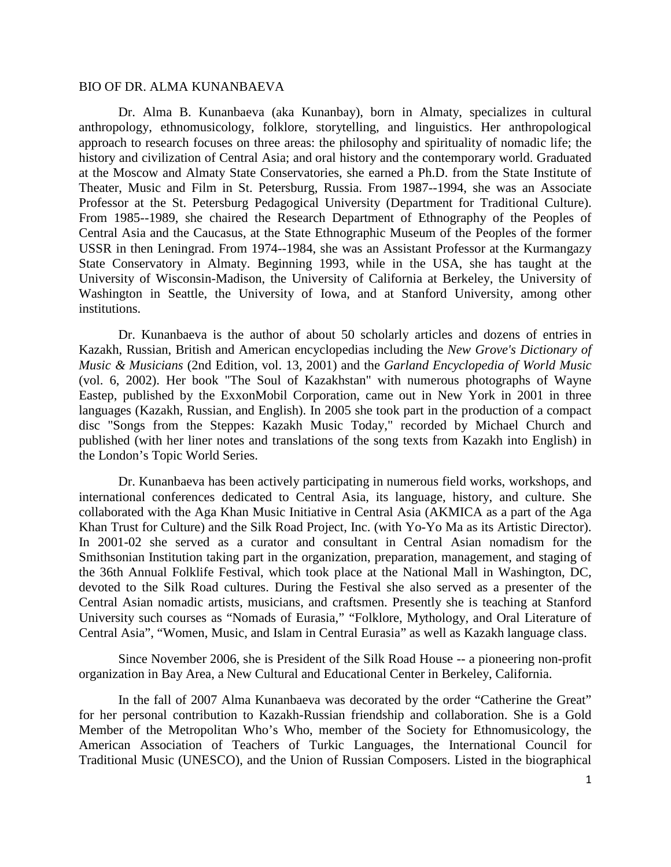## BIO OF DR. ALMA KUNANBAEVA

Dr. Alma B. Kunanbaeva (aka Kunanbay), born in Almaty, specializes in cultural anthropology, ethnomusicology, folklore, storytelling, and linguistics. Her anthropological approach to research focuses on three areas: the philosophy and spirituality of nomadic life; the history and civilization of Central Asia; and oral history and the contemporary world. Graduated at the Moscow and Almaty State Conservatories, she earned a Ph.D. from the State Institute of Theater, Music and Film in St. Petersburg, Russia. From 1987--1994, she was an Associate Professor at the St. Petersburg Pedagogical University (Department for Traditional Culture). From 1985--1989, she chaired the Research Department of Ethnography of the Peoples of Central Asia and the Caucasus, at the State Ethnographic Museum of the Peoples of the former USSR in then Leningrad. From 1974--1984, she was an Assistant Professor at the Kurmangazy State Conservatory in Almaty. Beginning 1993, while in the USA, she has taught at the University of Wisconsin-Madison, the University of California at Berkeley, the University of Washington in Seattle, the University of Iowa, and at Stanford University, among other institutions.

Dr. Kunanbaeva is the author of about 50 scholarly articles and dozens of entries in Kazakh, Russian, British and American encyclopedias including the *New Grove's Dictionary of Music & Musicians* (2nd Edition, vol. 13, 2001) and the *Garland Encyclopedia of World Music* (vol. 6, 2002). Her book "The Soul of Kazakhstan" with numerous photographs of Wayne Eastep, published by the ExxonMobil Corporation, came out in New York in 2001 in three languages (Kazakh, Russian, and English). In 2005 she took part in the production of a compact disc "Songs from the Steppes: Kazakh Music Today," recorded by Michael Church and published (with her liner notes and translations of the song texts from Kazakh into English) in the London's Topic World Series.

Dr. Kunanbaeva has been actively participating in numerous field works, workshops, and international conferences dedicated to Central Asia, its language, history, and culture. She collaborated with the Aga Khan Music Initiative in Central Asia (AKMICA as a part of the Aga Khan Trust for Culture) and the Silk Road Project, Inc. (with Yo-Yo Ma as its Artistic Director). In 2001-02 she served as a curator and consultant in Central Asian nomadism for the Smithsonian Institution taking part in the organization, preparation, management, and staging of the 36th Annual Folklife Festival, which took place at the National Mall in Washington, DC, devoted to the Silk Road cultures. During the Festival she also served as a presenter of the Central Asian nomadic artists, musicians, and craftsmen. Presently she is teaching at Stanford University such courses as "Nomads of Eurasia," "Folklore, Mythology, and Oral Literature of Central Asia", "Women, Music, and Islam in Central Eurasia" as well as Kazakh language class.

Since November 2006, she is President of the Silk Road House -- a pioneering non-profit organization in Bay Area, a New Cultural and Educational Center in Berkeley, California.

In the fall of 2007 Alma Kunanbaeva was decorated by the order "Catherine the Great" for her personal contribution to Kazakh-Russian friendship and collaboration. She is a Gold Member of the Metropolitan Who's Who, member of the Society for Ethnomusicology, the American Association of Teachers of Turkic Languages, the International Council for Traditional Music (UNESCO), and the Union of Russian Composers. Listed in the biographical